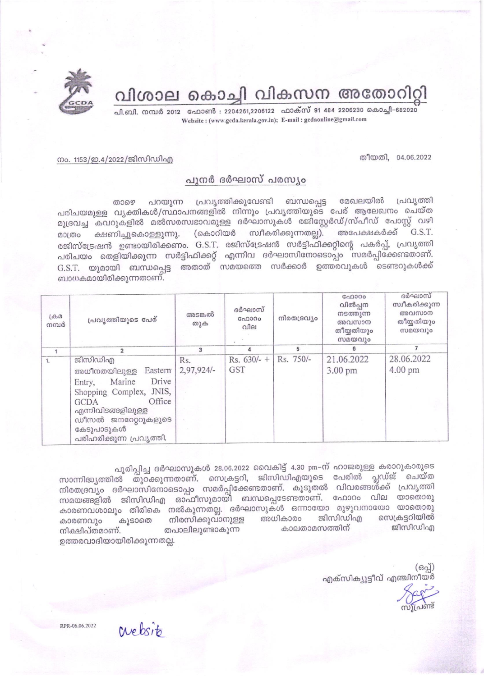

വിശാല കൊച്ചി വികസന അതോറിറ്റി

പി.ബി. നമ്പർ 2012 ഫോൺ : 2204261,2206122 ഫാക്സ് 91 484 2206230 കൊച്ചി-682020 Website: (www.gcda.kerala.gov.in); E-mail: gcdaonline@gmail.com

തീയതി, 04.06.2022

## നം. 1153/ഇ.4/2022/ജിസിഡിഎ

## പുനർ ദർഘാസ് പരസ്യം

പറയുന്ന പ്രവൃത്തിക്കുവേണ്ടി ബന്ധപ്പെട്ട മേഖലയിൽ പ്രവൃത്തി താഴെ പരിചയമുള്ള വൃക്തികൾ/സ്ഥാപനങ്ങളിൽ നിന്നും പ്രവൃത്തിയുടെ പേര് ആലേഖനം ചെയ്ത മുദ്രവച്ച കവറുകളിൽ മൽസരസ്വഭാവമുള്ള ദർഘാസുകൾ രജിസ്റ്റേർഡ്/സ്പീഡ് പോസ്റ്റ് വഴി അപേക്ഷകർക്ക് G.S.T. (കൊറിയർ സ്വീകരിക്കുന്നതല്ല). ക്ഷണിച്ചുകൊള്ളുന്നു. മാത്രം രജിസ്ട്രേഷൻ ഉണ്ടായിരിക്കണം. G.S.T. രജിസ്ട്രേഷൻ സർട്ടിഫിക്കറ്റിന്റെ പകർപ്പ്, പ്രവൃത്തി പരിചയം തെളിയിക്കുന്ന സർട്ടിഫിക്കറ്റ് എന്നിവ ദർഘാസിനോടൊപ്പം സമർപ്പിക്കേണ്ടതാണ്. G.S.T. യുമായി ബന്ധപ്പെട്ട അതാത് സമയത്തെ സർക്കാർ ഉത്തരവുകൾ ടെണ്ടറുകൾക്ക് ബാധകമായിരിക്കുന്നതാണ്.

| $\Box$<br>നമ്പർ | പ്രവ്യത്തിയുടെ പേര്                                                                                                                                                                                 | അടങ്കൽ<br>തുക       | ദർഘാസ്<br>G <sub>0</sub> 000<br>വില | നിരതദ്രവ്യം | ഫോറം<br>വിൽപ്പന<br>നടത്തുന്ന<br>അവസാന<br>തീയ്യതിയും<br>സമയവും | ദർഘാസ്<br>സ്വീകരിക്കുന്ന<br>അവസാന<br>തീയ്യതിയും<br>സമയവും |
|-----------------|-----------------------------------------------------------------------------------------------------------------------------------------------------------------------------------------------------|---------------------|-------------------------------------|-------------|---------------------------------------------------------------|-----------------------------------------------------------|
|                 |                                                                                                                                                                                                     | 3                   | 4                                   | 5           |                                                               |                                                           |
| 1.              | ജിസിഡിഎ<br>Eastern<br>അധീനതയിലുള്ള<br>Drive<br>Marine<br>Entry,<br>Shopping Complex, JNIS,<br>Office<br>GCDA<br>എന്നിവിടങ്ങളിലുള്ള<br>ഡീസൽ ജനറേറ്ററുകളുടെ<br>കേടുപാടുകൾ<br>പരിഹരിക്കുന്ന പ്രവൃത്തി. | Rs.<br>$2,97,924/-$ | Rs. $630/-$ +<br><b>GST</b>         | Rs. 750/-   | 21.06.2022<br>3.00 pm                                         | 28.06.2022<br>4.00 pm                                     |

പൂരിപ്പിച്ച ദർഘാസുകൾ 28.06.2022 വൈകിട്ട് 4.30 pm-ന് ഹാജരുള്ള കരാറുകാരുടെ സാന്നിദ്ധ്യത്തിൽ തുറക്കുന്നതാണ്. സെക്രട്ടറി, ജിസിഡിഎയുടെ പേരിൽ പ്ലഡ്ജ് ചെയ്ത നിരതദ്രവ്യം ദർഘാസിനോടൊപ്പം സമർപ്പിക്കേണ്ടതാണ്. കൂടുതൽ വിവരങ്ങൾക്ക് പ്രവൃത്തി സമയങ്ങളിൽ ജിസിഡിഎ ഓഫീസുമായി ബന്ധപ്പെടേണ്ടതാണ്. ഫോറം വില യാതൊരു കാരണവശാലും തിരികെ നൽകുന്നതല്ല. ദർഘാസുകൾ ഒന്നായോ മുഴുവനായോ യാതൊരു ജിസിഡിഎ സെക്രട്ടറിയിൽ നിരസിക്കുവാനുള്ള അധികാരം കാരണവും കൂടാതെ കാലതാമസത്തിന് ജിസിഡിഎ നിക്ഷിപ്തമാണ്. തപാലിലുണ്ടാകുന്ന ഉത്തരവാദിയായിരിക്കുന്നതല്ല.

> $(6a)$ എക്സിക്യൂട്ടീവ് എഞ്ചിനീയർ

RPR-06.06.2022

crebsito